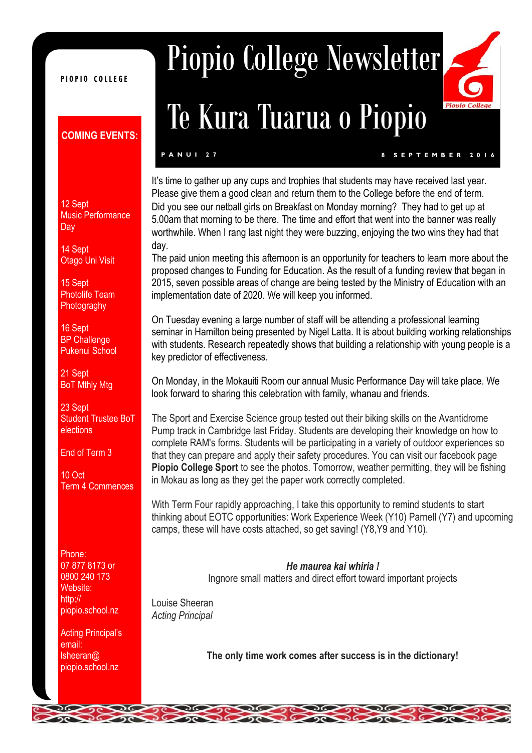#### PIOPIO COLLEGE

#### **COMING EVENTS:**

12 Sept Music Performance Day

14 Sept Otago Uni Visit

15 Sept Photolife Team **Photograghy** 

16 Sept **BP Challenge** Pukenui School

21 Sept BoT Mthly Mtg

23 Sept Student Trustee BoT elections

End of Term 3

10 Oct Term 4 Commences

Phone: 07 877 8173 or 0800 240 173 Website: http:// piopio.school.nz

Acting Principal's email: lsheeran@ piopio.school.nz

# Piopio College Newsletter

# Te Kura Tuarua o Piopio

**P A N U I 2 7 8 S E P T E M B E R 2 0 1 6**

It's time to gather up any cups and trophies that students may have received last year. Please give them a good clean and return them to the College before the end of term. Did you see our netball girls on Breakfast on Monday morning? They had to get up at 5.00am that morning to be there. The time and effort that went into the banner was really worthwhile. When I rang last night they were buzzing, enjoying the two wins they had that day.

The paid union meeting this afternoon is an opportunity for teachers to learn more about the proposed changes to Funding for Education. As the result of a funding review that began in 2015, seven possible areas of change are being tested by the Ministry of Education with an implementation date of 2020. We will keep you informed.

On Tuesday evening a large number of staff will be attending a professional learning seminar in Hamilton being presented by Nigel Latta. It is about building working relationships with students. Research repeatedly shows that building a relationship with young people is a key predictor of effectiveness.

On Monday, in the Mokauiti Room our annual Music Performance Day will take place. We look forward to sharing this celebration with family, whanau and friends.

The Sport and Exercise Science group tested out their biking skills on the Avantidrome Pump track in Cambridge last Friday. Students are developing their knowledge on how to complete RAM's forms. Students will be participating in a variety of outdoor experiences so that they can prepare and apply their safety procedures. You can visit our facebook page **Piopio College Sport** to see the photos. Tomorrow, weather permitting, they will be fishing in Mokau as long as they get the paper work correctly completed.

With Term Four rapidly approaching, I take this opportunity to remind students to start thinking about EOTC opportunities: Work Experience Week (Y10) Parnell (Y7) and upcoming camps, these will have costs attached, so get saving! (Y8,Y9 and Y10).

> *He maurea kai whiria !* Ingnore small matters and direct effort toward important projects

Louise Sheeran *Acting Principal*

**The only time work comes after success is in the dictionary!**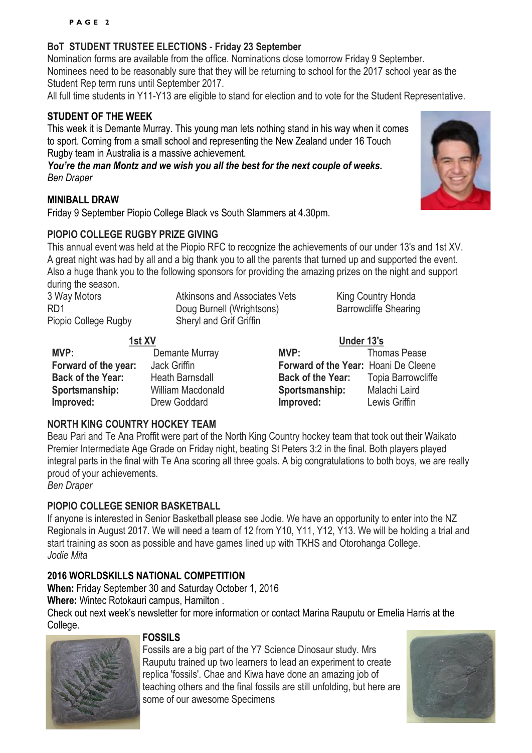#### **BoT STUDENT TRUSTEE ELECTIONS - Friday 23 September**

Nomination forms are available from the office. Nominations close tomorrow Friday 9 September. Nominees need to be reasonably sure that they will be returning to school for the 2017 school year as the Student Rep term runs until September 2017.

All full time students in Y11-Y13 are eligible to stand for election and to vote for the Student Representative.

#### **STUDENT OF THE WEEK**

This week it is Demante Murray. This young man lets nothing stand in his way when it comes to sport. Coming from a small school and representing the New Zealand under 16 Touch Rugby team in Australia is a massive achievement.

*You're the man Montz and we wish you all the best for the next couple of weeks. Ben Draper*

#### **MINIBALL DRAW**

Friday 9 September Piopio College Black vs South Slammers at 4.30pm.

#### **PIOPIO COLLEGE RUGBY PRIZE GIVING**

This annual event was held at the Piopio RFC to recognize the achievements of our under 13's and 1st XV. A great night was had by all and a big thank you to all the parents that turned up and supported the event. Also a huge thank you to the following sponsors for providing the amazing prizes on the night and support during the season.

3 Way Motors **Atkinsons and Associates Vets** King Country Honda<br>
RD1 Barrowcliffe Shearing<br>
RD1 RD1 **Doug Burnell (Wrightsons)** Piopio College Rugby Sheryl and Grif Griffin

| 1st XV                   |                        | Under 13's                           |                           |
|--------------------------|------------------------|--------------------------------------|---------------------------|
| MVP:                     | Demante Murray         | MVP:                                 | <b>Thomas Pease</b>       |
| Forward of the year:     | Jack Griffin           | Forward of the Year: Hoani De Cleene |                           |
| <b>Back of the Year:</b> | <b>Heath Barnsdall</b> | <b>Back of the Year:</b>             | <b>Topia Barrowcliffe</b> |
| Sportsmanship:           | William Macdonald      | Sportsmanship:                       | Malachi Laird             |
| Improved:                | Drew Goddard           | Improved:                            | Lewis Griffin             |

#### **NORTH KING COUNTRY HOCKEY TEAM**

Beau Pari and Te Ana Proffit were part of the North King Country hockey team that took out their Waikato Premier Intermediate Age Grade on Friday night, beating St Peters 3:2 in the final. Both players played integral parts in the final with Te Ana scoring all three goals. A big congratulations to both boys, we are really proud of your achievements.

*Ben Draper*

#### **PIOPIO COLLEGE SENIOR BASKETBALL**

If anyone is interested in Senior Basketball please see Jodie. We have an opportunity to enter into the NZ Regionals in August 2017. We will need a team of 12 from Y10, Y11, Y12, Y13. We will be holding a trial and start training as soon as possible and have games lined up with TKHS and Otorohanga College. *Jodie Mita*

#### **2016 WORLDSKILLS NATIONAL COMPETITION**

**When:** Friday September 30 and Saturday October 1, 2016

**Where:** Wintec Rotokauri campus, Hamilton .

Check out next week's newsletter for more information or contact Marina Rauputu or Emelia Harris at the College.

#### **FOSSILS**

Fossils are a big part of the Y7 Science Dinosaur study. Mrs Rauputu trained up two learners to lead an experiment to create replica 'fossils'. Chae and Kiwa have done an amazing job of teaching others and the final fossils are still unfolding, but here are some of our awesome Specimens



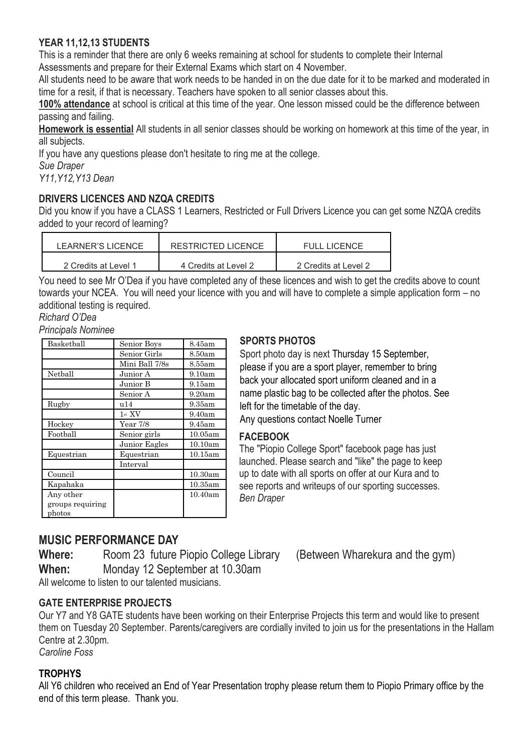#### **YEAR 11,12,13 STUDENTS**

This is a reminder that there are only 6 weeks remaining at school for students to complete their Internal Assessments and prepare for their External Exams which start on 4 November.

All students need to be aware that work needs to be handed in on the due date for it to be marked and moderated in time for a resit, if that is necessary. Teachers have spoken to all senior classes about this.

**100% attendance** at school is critical at this time of the year. One lesson missed could be the difference between passing and failing.

**Homework is essential** All students in all senior classes should be working on homework at this time of the year, in all subjects.

If you have any questions please don't hesitate to ring me at the college.

*Sue Draper*

*Y11,Y12,Y13 Dean*

#### **DRIVERS LICENCES AND NZQA CREDITS**

Did you know if you have a CLASS 1 Learners, Restricted or Full Drivers Licence you can get some NZQA credits added to your record of learning?

| LEARNER'S LICENCE    | RESTRICTED LICENCE   | <b>FULL LICENCE</b>  |
|----------------------|----------------------|----------------------|
| 2 Credits at Level 1 | 4 Credits at Level 2 | 2 Credits at Level 2 |

You need to see Mr O'Dea if you have completed any of these licences and wish to get the credits above to count towards your NCEA. You will need your licence with you and will have to complete a simple application form – no additional testing is required.

*Richard O'Dea*

*Principals Nominee*

| Basketball                    | Senior Boys    | 8.45am     |
|-------------------------------|----------------|------------|
|                               | Senior Girls   | 8.50am     |
|                               | Mini Ball 7/8s | 8.55am     |
| Netball                       | Junior A       | 9.10am     |
|                               | Junior B       | 9.15am     |
|                               | Senior A       | 9.20am     |
| Rugby                         | u14            | 9.35am     |
|                               | $1$ st $XV$    | 9.40am     |
| Hockey                        | Year 7/8       | 9.45am     |
| Football                      | Senior girls   | 10.05am    |
|                               | Junior Eagles  | 10.10am    |
| Equestrian                    | Equestrian     | 10.15am    |
|                               | Interval       |            |
| Council                       |                | 10.30am    |
| Kapahaka                      |                | $10.35$ am |
| Any other<br>groups requiring |                | 10.40am    |
| photos                        |                |            |

#### **SPORTS PHOTOS**

Sport photo day is next Thursday 15 September, please if you are a sport player, remember to bring back your allocated sport uniform cleaned and in a name plastic bag to be collected after the photos. See left for the timetable of the day. Any questions contact Noelle Turner

#### **FACEBOOK**

The "Piopio College Sport" facebook page has just launched. Please search and "like" the page to keep up to date with all sports on offer at our Kura and to see reports and writeups of our sporting successes. *Ben Draper*

### **MUSIC PERFORMANCE DAY**

**Where:** Room 23 future Piopio College Library (Between Wharekura and the gym) **When:** Monday 12 September at 10.30am

All welcome to listen to our talented musicians.

#### **GATE ENTERPRISE PROJECTS**

Our Y7 and Y8 GATE students have been working on their Enterprise Projects this term and would like to present them on Tuesday 20 September. Parents/caregivers are cordially invited to join us for the presentations in the Hallam Centre at 2.30pm.

*Caroline Foss*

#### **TROPHYS**

All Y6 children who received an End of Year Presentation trophy please return them to Piopio Primary office by the end of this term please. Thank you.